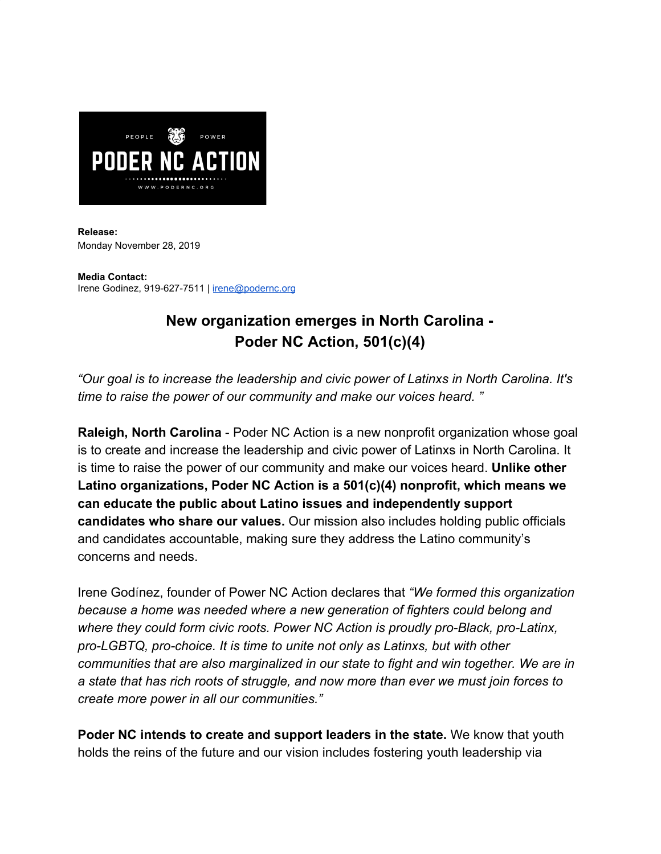

**Release:** Monday November 28, 2019

**Media Contact:** Irene Godinez, 919-627-7511 | [irene@podernc.org](mailto:irene@podernc.org)

## **New organization emerges in North Carolina - Poder NC Action, 501(c)(4)**

*"Our goal is to increase the leadership and civic power of Latinxs in North Carolina. It's time to raise the power of our community and make our voices heard. "*

**Raleigh, North Carolina** - Poder NC Action is a new nonprofit organization whose goal is to create and increase the leadership and civic power of Latinxs in North Carolina. It is time to raise the power of our community and make our voices heard. **Unlike other Latino organizations, Poder NC Action is a 501(c)(4) nonprofit, which means we can educate the public about Latino issues and independently support candidates who share our values.** Our mission also includes holding public officials and candidates accountable, making sure they address the Latino community's concerns and needs.

Irene Godínez, founder of Power NC Action declares that *"We formed this organization because a home was needed where a new generation of fighters could belong and where they could form civic roots. Power NC Action is proudly pro-Black, pro-Latinx, pro-LGBTQ, pro-choice. It is time to unite not only as Latinxs, but with other communities that are also marginalized in our state to fight and win together. We are in a state that has rich roots of struggle, and now more than ever we must join forces to create more power in all our communities."*

**Poder NC intends to create and support leaders in the state.** We know that youth holds the reins of the future and our vision includes fostering youth leadership via